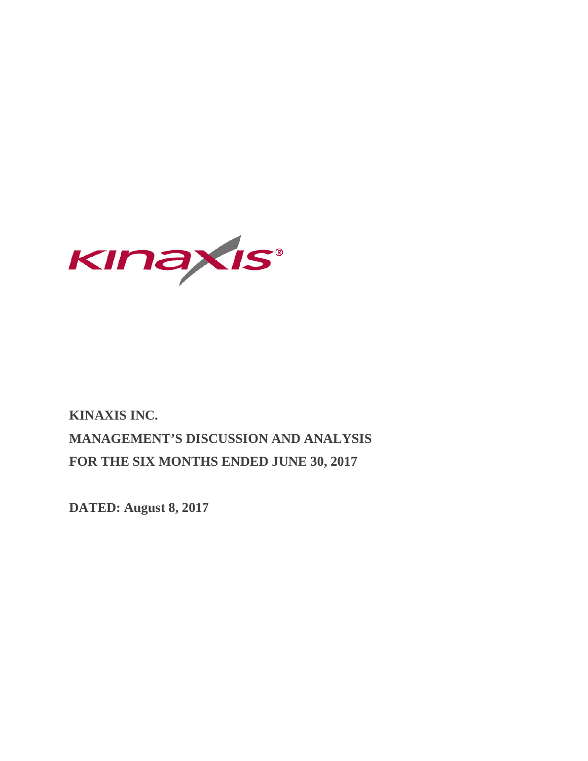

# **KINAXIS INC. MANAGEMENT'S DISCUSSION AND ANALYSIS FOR THE SIX MONTHS ENDED JUNE 30, 2017**

**DATED: August 8, 2017**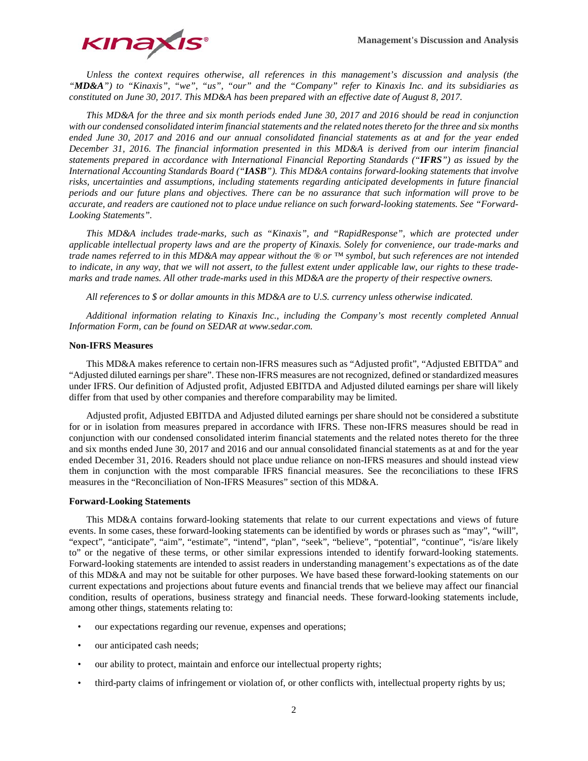

*Unless the context requires otherwise, all references in this management's discussion and analysis (the "MD&A") to "Kinaxis", "we", "us", "our" and the "Company" refer to Kinaxis Inc. and its subsidiaries as constituted on June 30, 2017. This MD&A has been prepared with an effective date of August 8, 2017.*

*This MD&A for the three and six month periods ended June 30, 2017 and 2016 should be read in conjunction with our condensed consolidated interim financial statements and the related notes thereto for the three and six months ended June 30, 2017 and 2016 and our annual consolidated financial statements as at and for the year ended December 31, 2016. The financial information presented in this MD&A is derived from our interim financial statements prepared in accordance with International Financial Reporting Standards ("IFRS") as issued by the International Accounting Standards Board ("IASB"). This MD&A contains forward-looking statements that involve risks, uncertainties and assumptions, including statements regarding anticipated developments in future financial periods and our future plans and objectives. There can be no assurance that such information will prove to be accurate, and readers are cautioned not to place undue reliance on such forward-looking statements. See "Forward-Looking Statements".*

*This MD&A includes trade-marks, such as "Kinaxis", and "RapidResponse", which are protected under applicable intellectual property laws and are the property of Kinaxis. Solely for convenience, our trade-marks and trade names referred to in this MD&A may appear without the ® or ™ symbol, but such references are not intended to indicate, in any way, that we will not assert, to the fullest extent under applicable law, our rights to these trademarks and trade names. All other trade-marks used in this MD&A are the property of their respective owners.*

*All references to \$ or dollar amounts in this MD&A are to U.S. currency unless otherwise indicated.* 

*Additional information relating to Kinaxis Inc., including the Company's most recently completed Annual Information Form, can be found on SEDAR at www.sedar.com.*

## **Non-IFRS Measures**

This MD&A makes reference to certain non-IFRS measures such as "Adjusted profit", "Adjusted EBITDA" and "Adjusted diluted earnings per share". These non-IFRS measures are not recognized, defined or standardized measures under IFRS. Our definition of Adjusted profit, Adjusted EBITDA and Adjusted diluted earnings per share will likely differ from that used by other companies and therefore comparability may be limited.

Adjusted profit, Adjusted EBITDA and Adjusted diluted earnings per share should not be considered a substitute for or in isolation from measures prepared in accordance with IFRS. These non-IFRS measures should be read in conjunction with our condensed consolidated interim financial statements and the related notes thereto for the three and six months ended June 30, 2017 and 2016 and our annual consolidated financial statements as at and for the year ended December 31, 2016. Readers should not place undue reliance on non-IFRS measures and should instead view them in conjunction with the most comparable IFRS financial measures. See the reconciliations to these IFRS measures in the "Reconciliation of Non-IFRS Measures" section of this MD&A.

#### **Forward-Looking Statements**

This MD&A contains forward-looking statements that relate to our current expectations and views of future events. In some cases, these forward-looking statements can be identified by words or phrases such as "may", "will", "expect", "anticipate", "aim", "estimate", "intend", "plan", "seek", "believe", "potential", "continue", "is/are likely to" or the negative of these terms, or other similar expressions intended to identify forward-looking statements. Forward-looking statements are intended to assist readers in understanding management's expectations as of the date of this MD&A and may not be suitable for other purposes. We have based these forward-looking statements on our current expectations and projections about future events and financial trends that we believe may affect our financial condition, results of operations, business strategy and financial needs. These forward-looking statements include, among other things, statements relating to:

- our expectations regarding our revenue, expenses and operations;
- our anticipated cash needs;
- our ability to protect, maintain and enforce our intellectual property rights;
- third-party claims of infringement or violation of, or other conflicts with, intellectual property rights by us;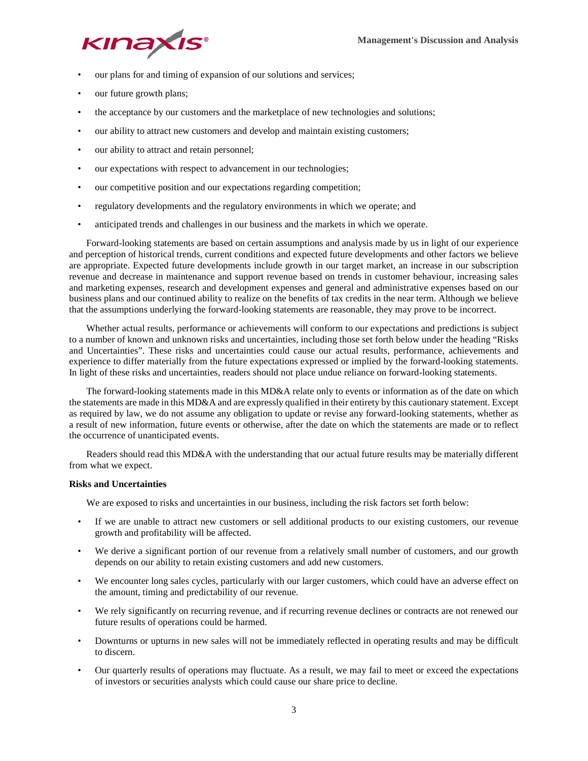

- our plans for and timing of expansion of our solutions and services;
- our future growth plans;
- the acceptance by our customers and the marketplace of new technologies and solutions;
- our ability to attract new customers and develop and maintain existing customers;
- our ability to attract and retain personnel;
- our expectations with respect to advancement in our technologies;
- our competitive position and our expectations regarding competition;
- regulatory developments and the regulatory environments in which we operate; and
- anticipated trends and challenges in our business and the markets in which we operate.

Forward-looking statements are based on certain assumptions and analysis made by us in light of our experience and perception of historical trends, current conditions and expected future developments and other factors we believe are appropriate. Expected future developments include growth in our target market, an increase in our subscription revenue and decrease in maintenance and support revenue based on trends in customer behaviour, increasing sales and marketing expenses, research and development expenses and general and administrative expenses based on our business plans and our continued ability to realize on the benefits of tax credits in the near term. Although we believe that the assumptions underlying the forward-looking statements are reasonable, they may prove to be incorrect.

Whether actual results, performance or achievements will conform to our expectations and predictions is subject to a number of known and unknown risks and uncertainties, including those set forth below under the heading "Risks and Uncertainties". These risks and uncertainties could cause our actual results, performance, achievements and experience to differ materially from the future expectations expressed or implied by the forward-looking statements. In light of these risks and uncertainties, readers should not place undue reliance on forward-looking statements.

The forward-looking statements made in this MD&A relate only to events or information as of the date on which the statements are made in this MD&A and are expressly qualified in their entirety by this cautionary statement. Except as required by law, we do not assume any obligation to update or revise any forward-looking statements, whether as a result of new information, future events or otherwise, after the date on which the statements are made or to reflect the occurrence of unanticipated events.

Readers should read this MD&A with the understanding that our actual future results may be materially different from what we expect.

# **Risks and Uncertainties**

We are exposed to risks and uncertainties in our business, including the risk factors set forth below:

- If we are unable to attract new customers or sell additional products to our existing customers, our revenue growth and profitability will be affected.
- We derive a significant portion of our revenue from a relatively small number of customers, and our growth depends on our ability to retain existing customers and add new customers.
- We encounter long sales cycles, particularly with our larger customers, which could have an adverse effect on the amount, timing and predictability of our revenue.
- We rely significantly on recurring revenue, and if recurring revenue declines or contracts are not renewed our future results of operations could be harmed.
- Downturns or upturns in new sales will not be immediately reflected in operating results and may be difficult to discern.
- Our quarterly results of operations may fluctuate. As a result, we may fail to meet or exceed the expectations of investors or securities analysts which could cause our share price to decline.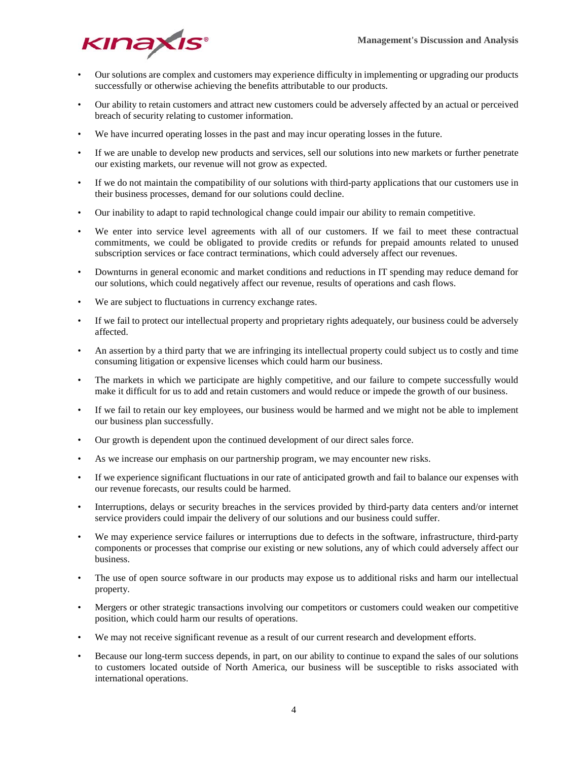

- Our solutions are complex and customers may experience difficulty in implementing or upgrading our products successfully or otherwise achieving the benefits attributable to our products.
- Our ability to retain customers and attract new customers could be adversely affected by an actual or perceived breach of security relating to customer information.
- We have incurred operating losses in the past and may incur operating losses in the future.
- If we are unable to develop new products and services, sell our solutions into new markets or further penetrate our existing markets, our revenue will not grow as expected.
- If we do not maintain the compatibility of our solutions with third-party applications that our customers use in their business processes, demand for our solutions could decline.
- Our inability to adapt to rapid technological change could impair our ability to remain competitive.
- We enter into service level agreements with all of our customers. If we fail to meet these contractual commitments, we could be obligated to provide credits or refunds for prepaid amounts related to unused subscription services or face contract terminations, which could adversely affect our revenues.
- Downturns in general economic and market conditions and reductions in IT spending may reduce demand for our solutions, which could negatively affect our revenue, results of operations and cash flows.
- We are subject to fluctuations in currency exchange rates.
- If we fail to protect our intellectual property and proprietary rights adequately, our business could be adversely affected.
- An assertion by a third party that we are infringing its intellectual property could subject us to costly and time consuming litigation or expensive licenses which could harm our business.
- The markets in which we participate are highly competitive, and our failure to compete successfully would make it difficult for us to add and retain customers and would reduce or impede the growth of our business.
- If we fail to retain our key employees, our business would be harmed and we might not be able to implement our business plan successfully.
- Our growth is dependent upon the continued development of our direct sales force.
- As we increase our emphasis on our partnership program, we may encounter new risks.
- If we experience significant fluctuations in our rate of anticipated growth and fail to balance our expenses with our revenue forecasts, our results could be harmed.
- Interruptions, delays or security breaches in the services provided by third-party data centers and/or internet service providers could impair the delivery of our solutions and our business could suffer.
- We may experience service failures or interruptions due to defects in the software, infrastructure, third-party components or processes that comprise our existing or new solutions, any of which could adversely affect our business.
- The use of open source software in our products may expose us to additional risks and harm our intellectual property.
- Mergers or other strategic transactions involving our competitors or customers could weaken our competitive position, which could harm our results of operations.
- We may not receive significant revenue as a result of our current research and development efforts.
- Because our long-term success depends, in part, on our ability to continue to expand the sales of our solutions to customers located outside of North America, our business will be susceptible to risks associated with international operations.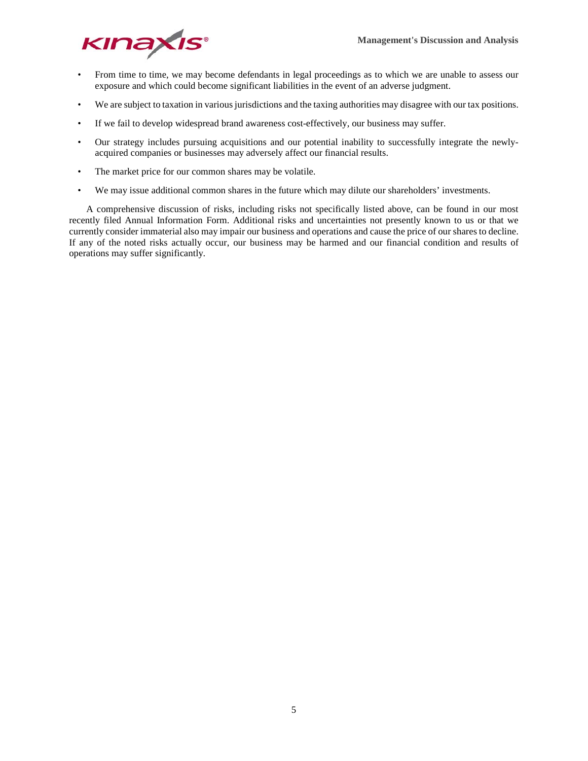

- From time to time, we may become defendants in legal proceedings as to which we are unable to assess our exposure and which could become significant liabilities in the event of an adverse judgment.
- We are subject to taxation in various jurisdictions and the taxing authorities may disagree with our tax positions.
- If we fail to develop widespread brand awareness cost-effectively, our business may suffer.
- Our strategy includes pursuing acquisitions and our potential inability to successfully integrate the newlyacquired companies or businesses may adversely affect our financial results.
- The market price for our common shares may be volatile.
- We may issue additional common shares in the future which may dilute our shareholders' investments.

A comprehensive discussion of risks, including risks not specifically listed above, can be found in our most recently filed Annual Information Form. Additional risks and uncertainties not presently known to us or that we currently consider immaterial also may impair our business and operations and cause the price of our shares to decline. If any of the noted risks actually occur, our business may be harmed and our financial condition and results of operations may suffer significantly.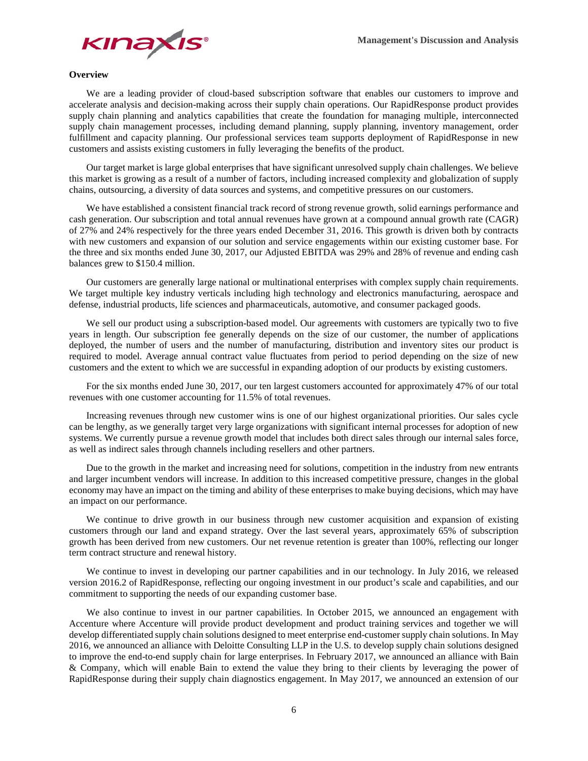

## **Overview**

We are a leading provider of cloud-based subscription software that enables our customers to improve and accelerate analysis and decision-making across their supply chain operations. Our RapidResponse product provides supply chain planning and analytics capabilities that create the foundation for managing multiple, interconnected supply chain management processes, including demand planning, supply planning, inventory management, order fulfillment and capacity planning. Our professional services team supports deployment of RapidResponse in new customers and assists existing customers in fully leveraging the benefits of the product.

Our target market is large global enterprises that have significant unresolved supply chain challenges. We believe this market is growing as a result of a number of factors, including increased complexity and globalization of supply chains, outsourcing, a diversity of data sources and systems, and competitive pressures on our customers.

We have established a consistent financial track record of strong revenue growth, solid earnings performance and cash generation. Our subscription and total annual revenues have grown at a compound annual growth rate (CAGR) of 27% and 24% respectively for the three years ended December 31, 2016. This growth is driven both by contracts with new customers and expansion of our solution and service engagements within our existing customer base. For the three and six months ended June 30, 2017, our Adjusted EBITDA was 29% and 28% of revenue and ending cash balances grew to \$150.4 million.

Our customers are generally large national or multinational enterprises with complex supply chain requirements. We target multiple key industry verticals including high technology and electronics manufacturing, aerospace and defense, industrial products, life sciences and pharmaceuticals, automotive, and consumer packaged goods.

We sell our product using a subscription-based model. Our agreements with customers are typically two to five years in length. Our subscription fee generally depends on the size of our customer, the number of applications deployed, the number of users and the number of manufacturing, distribution and inventory sites our product is required to model. Average annual contract value fluctuates from period to period depending on the size of new customers and the extent to which we are successful in expanding adoption of our products by existing customers.

For the six months ended June 30, 2017, our ten largest customers accounted for approximately 47% of our total revenues with one customer accounting for 11.5% of total revenues.

Increasing revenues through new customer wins is one of our highest organizational priorities. Our sales cycle can be lengthy, as we generally target very large organizations with significant internal processes for adoption of new systems. We currently pursue a revenue growth model that includes both direct sales through our internal sales force, as well as indirect sales through channels including resellers and other partners.

Due to the growth in the market and increasing need for solutions, competition in the industry from new entrants and larger incumbent vendors will increase. In addition to this increased competitive pressure, changes in the global economy may have an impact on the timing and ability of these enterprises to make buying decisions, which may have an impact on our performance.

We continue to drive growth in our business through new customer acquisition and expansion of existing customers through our land and expand strategy. Over the last several years, approximately 65% of subscription growth has been derived from new customers. Our net revenue retention is greater than 100%, reflecting our longer term contract structure and renewal history.

We continue to invest in developing our partner capabilities and in our technology. In July 2016, we released version 2016.2 of RapidResponse, reflecting our ongoing investment in our product's scale and capabilities, and our commitment to supporting the needs of our expanding customer base.

We also continue to invest in our partner capabilities. In October 2015, we announced an engagement with Accenture where Accenture will provide product development and product training services and together we will develop differentiated supply chain solutions designed to meet enterprise end-customer supply chain solutions. In May 2016, we announced an alliance with Deloitte Consulting LLP in the U.S. to develop supply chain solutions designed to improve the end-to-end supply chain for large enterprises. In February 2017, we announced an alliance with Bain & Company, which will enable Bain to extend the value they bring to their clients by leveraging the power of RapidResponse during their supply chain diagnostics engagement. In May 2017, we announced an extension of our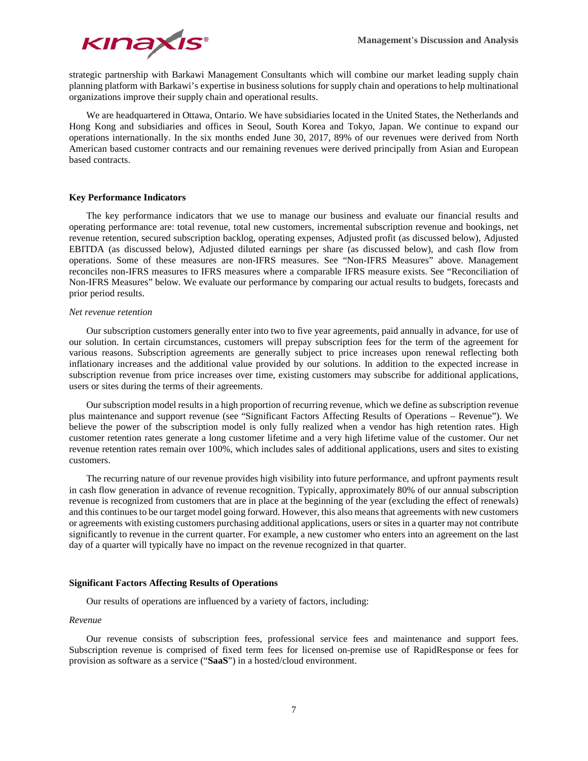

strategic partnership with Barkawi Management Consultants which will combine our market leading supply chain planning platform with Barkawi's expertise in business solutions for supply chain and operations to help multinational organizations improve their supply chain and operational results.

We are headquartered in Ottawa, Ontario. We have subsidiaries located in the United States, the Netherlands and Hong Kong and subsidiaries and offices in Seoul, South Korea and Tokyo, Japan. We continue to expand our operations internationally. In the six months ended June 30, 2017, 89% of our revenues were derived from North American based customer contracts and our remaining revenues were derived principally from Asian and European based contracts.

#### **Key Performance Indicators**

The key performance indicators that we use to manage our business and evaluate our financial results and operating performance are: total revenue, total new customers, incremental subscription revenue and bookings, net revenue retention, secured subscription backlog, operating expenses, Adjusted profit (as discussed below), Adjusted EBITDA (as discussed below), Adjusted diluted earnings per share (as discussed below), and cash flow from operations. Some of these measures are non-IFRS measures. See "Non-IFRS Measures" above. Management reconciles non-IFRS measures to IFRS measures where a comparable IFRS measure exists. See "Reconciliation of Non-IFRS Measures" below. We evaluate our performance by comparing our actual results to budgets, forecasts and prior period results.

#### *Net revenue retention*

Our subscription customers generally enter into two to five year agreements, paid annually in advance, for use of our solution. In certain circumstances, customers will prepay subscription fees for the term of the agreement for various reasons. Subscription agreements are generally subject to price increases upon renewal reflecting both inflationary increases and the additional value provided by our solutions. In addition to the expected increase in subscription revenue from price increases over time, existing customers may subscribe for additional applications, users or sites during the terms of their agreements.

Our subscription model results in a high proportion of recurring revenue, which we define as subscription revenue plus maintenance and support revenue (see "Significant Factors Affecting Results of Operations – Revenue"). We believe the power of the subscription model is only fully realized when a vendor has high retention rates. High customer retention rates generate a long customer lifetime and a very high lifetime value of the customer. Our net revenue retention rates remain over 100%, which includes sales of additional applications, users and sites to existing customers.

The recurring nature of our revenue provides high visibility into future performance, and upfront payments result in cash flow generation in advance of revenue recognition. Typically, approximately 80% of our annual subscription revenue is recognized from customers that are in place at the beginning of the year (excluding the effect of renewals) and this continues to be our target model going forward. However, this also means that agreements with new customers or agreements with existing customers purchasing additional applications, users or sites in a quarter may not contribute significantly to revenue in the current quarter. For example, a new customer who enters into an agreement on the last day of a quarter will typically have no impact on the revenue recognized in that quarter.

#### **Significant Factors Affecting Results of Operations**

Our results of operations are influenced by a variety of factors, including:

#### *Revenue*

Our revenue consists of subscription fees, professional service fees and maintenance and support fees. Subscription revenue is comprised of fixed term fees for licensed on-premise use of RapidResponse or fees for provision as software as a service ("**SaaS**") in a hosted/cloud environment.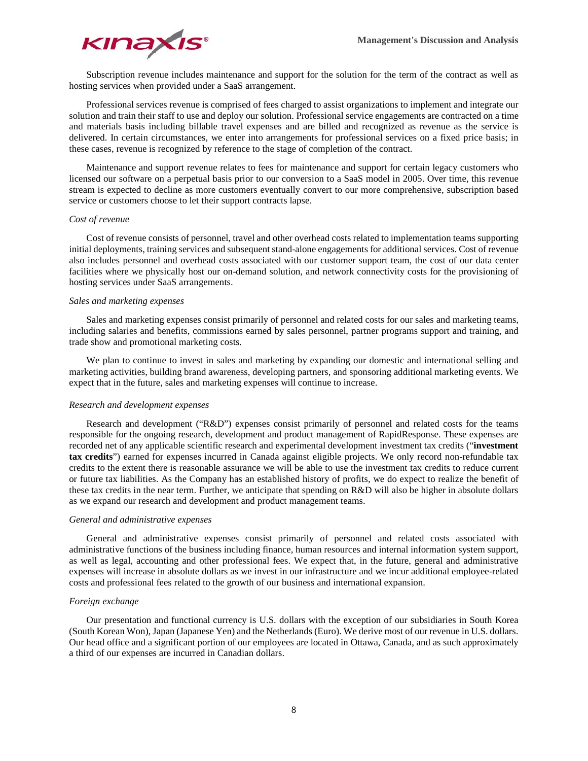

Subscription revenue includes maintenance and support for the solution for the term of the contract as well as hosting services when provided under a SaaS arrangement.

Professional services revenue is comprised of fees charged to assist organizations to implement and integrate our solution and train their staff to use and deploy our solution. Professional service engagements are contracted on a time and materials basis including billable travel expenses and are billed and recognized as revenue as the service is delivered. In certain circumstances, we enter into arrangements for professional services on a fixed price basis; in these cases, revenue is recognized by reference to the stage of completion of the contract.

Maintenance and support revenue relates to fees for maintenance and support for certain legacy customers who licensed our software on a perpetual basis prior to our conversion to a SaaS model in 2005. Over time, this revenue stream is expected to decline as more customers eventually convert to our more comprehensive, subscription based service or customers choose to let their support contracts lapse.

#### *Cost of revenue*

Cost of revenue consists of personnel, travel and other overhead costs related to implementation teams supporting initial deployments, training services and subsequent stand-alone engagements for additional services. Cost of revenue also includes personnel and overhead costs associated with our customer support team, the cost of our data center facilities where we physically host our on-demand solution, and network connectivity costs for the provisioning of hosting services under SaaS arrangements.

#### *Sales and marketing expenses*

Sales and marketing expenses consist primarily of personnel and related costs for our sales and marketing teams, including salaries and benefits, commissions earned by sales personnel, partner programs support and training, and trade show and promotional marketing costs.

We plan to continue to invest in sales and marketing by expanding our domestic and international selling and marketing activities, building brand awareness, developing partners, and sponsoring additional marketing events. We expect that in the future, sales and marketing expenses will continue to increase.

#### *Research and development expenses*

Research and development ("R&D") expenses consist primarily of personnel and related costs for the teams responsible for the ongoing research, development and product management of RapidResponse. These expenses are recorded net of any applicable scientific research and experimental development investment tax credits ("**investment tax credits**") earned for expenses incurred in Canada against eligible projects. We only record non-refundable tax credits to the extent there is reasonable assurance we will be able to use the investment tax credits to reduce current or future tax liabilities. As the Company has an established history of profits, we do expect to realize the benefit of these tax credits in the near term. Further, we anticipate that spending on R&D will also be higher in absolute dollars as we expand our research and development and product management teams.

#### *General and administrative expenses*

General and administrative expenses consist primarily of personnel and related costs associated with administrative functions of the business including finance, human resources and internal information system support, as well as legal, accounting and other professional fees. We expect that, in the future, general and administrative expenses will increase in absolute dollars as we invest in our infrastructure and we incur additional employee-related costs and professional fees related to the growth of our business and international expansion.

#### *Foreign exchange*

Our presentation and functional currency is U.S. dollars with the exception of our subsidiaries in South Korea (South Korean Won), Japan (Japanese Yen) and the Netherlands (Euro). We derive most of our revenue in U.S. dollars. Our head office and a significant portion of our employees are located in Ottawa, Canada, and as such approximately a third of our expenses are incurred in Canadian dollars.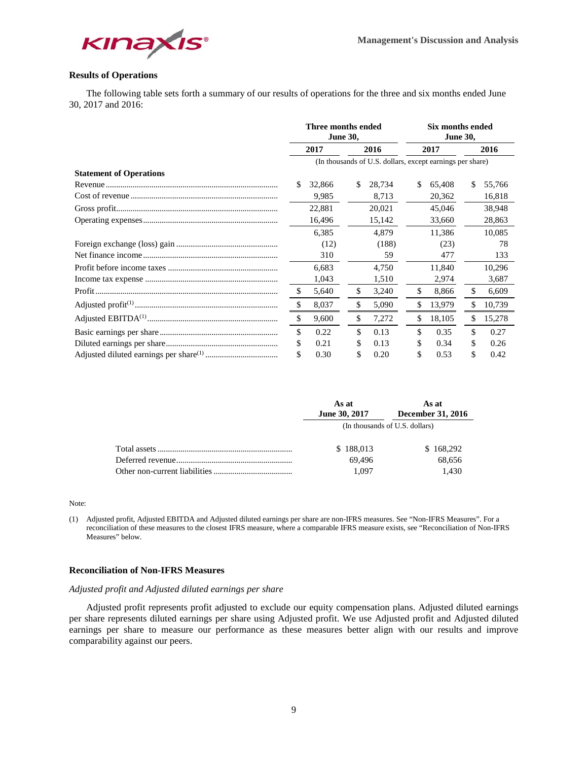

# **Results of Operations**

The following table sets forth a summary of our results of operations for the three and six months ended June 30, 2017 and 2016:

|                                |      | Three months ended<br><b>June 30,</b> |    |                                                           | Six months ended<br><b>June 30,</b> |        |    |        |  |
|--------------------------------|------|---------------------------------------|----|-----------------------------------------------------------|-------------------------------------|--------|----|--------|--|
|                                | 2017 |                                       |    | 2016                                                      |                                     | 2017   |    | 2016   |  |
|                                |      |                                       |    | (In thousands of U.S. dollars, except earnings per share) |                                     |        |    |        |  |
| <b>Statement of Operations</b> |      |                                       |    |                                                           |                                     |        |    |        |  |
|                                | S    | 32,866                                | S  | 28,734                                                    | \$                                  | 65,408 | \$ | 55,766 |  |
|                                |      | 9,985                                 |    | 8,713                                                     |                                     | 20,362 |    | 16,818 |  |
|                                |      | 22,881                                |    | 20,021                                                    |                                     | 45,046 |    | 38.948 |  |
|                                |      | 16,496                                |    | 15,142                                                    |                                     | 33,660 |    | 28,863 |  |
|                                |      | 6,385                                 |    | 4.879                                                     |                                     | 11,386 |    | 10,085 |  |
|                                |      | (12)                                  |    | (188)                                                     |                                     | (23)   |    | 78     |  |
|                                |      | 310                                   |    | 59                                                        |                                     | 477    |    | 133    |  |
|                                |      | 6,683                                 |    | 4,750                                                     |                                     | 11,840 |    | 10,296 |  |
|                                |      | 1,043                                 |    | 1,510                                                     |                                     | 2,974  |    | 3,687  |  |
|                                | \$   | 5,640                                 | \$ | 3,240                                                     | \$                                  | 8,866  | \$ | 6,609  |  |
|                                | \$   | 8,037                                 | \$ | 5,090                                                     | \$                                  | 13,979 | \$ | 10,739 |  |
|                                | \$   | 9,600                                 | \$ | 7,272                                                     | \$                                  | 18,105 | \$ | 15,278 |  |
|                                | \$   | 0.22                                  | \$ | 0.13                                                      | \$                                  | 0.35   | \$ | 0.27   |  |
|                                | \$   | 0.21                                  | S  | 0.13                                                      | S                                   | 0.34   | S  | 0.26   |  |
|                                | \$   | 0.30                                  | \$ | 0.20                                                      |                                     | 0.53   | S  | 0.42   |  |

| As at         | As at                          |
|---------------|--------------------------------|
| June 30, 2017 | December 31, 2016              |
|               | (In thousands of U.S. dollars) |
| \$188,013     | \$168,292                      |
| 69.496        | 68,656                         |
| 1.097         | 1.430                          |

Note:

(1) Adjusted profit, Adjusted EBITDA and Adjusted diluted earnings per share are non-IFRS measures. See "Non-IFRS Measures". For a reconciliation of these measures to the closest IFRS measure, where a comparable IFRS measure exists, see "Reconciliation of Non-IFRS Measures" below.

## **Reconciliation of Non-IFRS Measures**

## *Adjusted profit and Adjusted diluted earnings per share*

Adjusted profit represents profit adjusted to exclude our equity compensation plans. Adjusted diluted earnings per share represents diluted earnings per share using Adjusted profit. We use Adjusted profit and Adjusted diluted earnings per share to measure our performance as these measures better align with our results and improve comparability against our peers.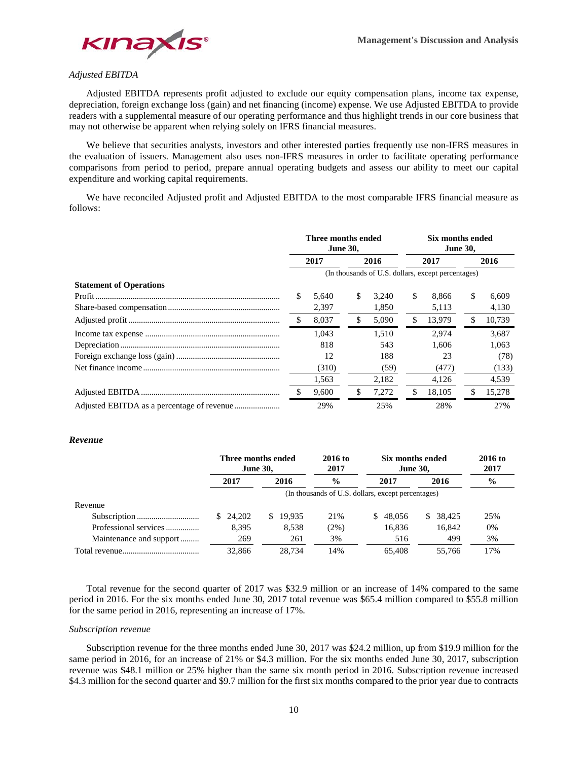

# *Adjusted EBITDA*

Adjusted EBITDA represents profit adjusted to exclude our equity compensation plans, income tax expense, depreciation, foreign exchange loss (gain) and net financing (income) expense. We use Adjusted EBITDA to provide readers with a supplemental measure of our operating performance and thus highlight trends in our core business that may not otherwise be apparent when relying solely on IFRS financial measures.

We believe that securities analysts, investors and other interested parties frequently use non-IFRS measures in the evaluation of issuers. Management also uses non-IFRS measures in order to facilitate operating performance comparisons from period to period, prepare annual operating budgets and assess our ability to meet our capital expenditure and working capital requirements.

We have reconciled Adjusted profit and Adjusted EBITDA to the most comparable IFRS financial measure as follows:

|                                | Three months ended<br><b>June 30,</b> |       |    |       |                                                    |        | Six months ended<br><b>June 30,</b> |        |  |  |  |
|--------------------------------|---------------------------------------|-------|----|-------|----------------------------------------------------|--------|-------------------------------------|--------|--|--|--|
|                                | 2017                                  |       |    | 2016  |                                                    | 2017   |                                     | 2016   |  |  |  |
|                                |                                       |       |    |       | (In thousands of U.S. dollars, except percentages) |        |                                     |        |  |  |  |
| <b>Statement of Operations</b> |                                       |       |    |       |                                                    |        |                                     |        |  |  |  |
|                                | \$                                    | 5.640 | \$ | 3.240 | \$.                                                | 8.866  | \$                                  | 6.609  |  |  |  |
|                                |                                       | 2,397 |    | 1,850 |                                                    | 5,113  |                                     | 4,130  |  |  |  |
|                                | -S                                    | 8,037 | \$ | 5,090 | \$                                                 | 13.979 |                                     | 10,739 |  |  |  |
|                                |                                       | 1.043 |    | 1.510 |                                                    | 2.974  |                                     | 3.687  |  |  |  |
|                                |                                       | 818   |    | 543   |                                                    | 1,606  |                                     | 1,063  |  |  |  |
|                                |                                       | 12    |    | 188   |                                                    | 23     |                                     | (78)   |  |  |  |
|                                |                                       | (310) |    | (59)  |                                                    | (477)  |                                     | (133)  |  |  |  |
|                                |                                       | 1,563 |    | 2,182 |                                                    | 4,126  |                                     | 4,539  |  |  |  |
|                                | \$.                                   | 9,600 | \$ | 7,272 |                                                    | 18,105 |                                     | 15,278 |  |  |  |
|                                |                                       | 29%   |    | 25%   |                                                    | 28%    |                                     | 27%    |  |  |  |

#### *Revenue*

|                         | Three months ended<br><b>June 30,</b> |          | 2016 to<br>2017 |                                                    | Six months ended<br><b>June 30,</b> |               |  |
|-------------------------|---------------------------------------|----------|-----------------|----------------------------------------------------|-------------------------------------|---------------|--|
|                         | 2017                                  | 2016     | $\frac{0}{0}$   | 2017                                               | 2016                                | $\frac{6}{9}$ |  |
|                         |                                       |          |                 | (In thousands of U.S. dollars, except percentages) |                                     |               |  |
| Revenue                 |                                       |          |                 |                                                    |                                     |               |  |
|                         | \$ 24,202                             | \$19,935 | 21%             | 48.056<br>S.                                       | 38.425<br>S.                        | 25%           |  |
| Professional services   | 8.395                                 | 8.538    | $(2\%)$         | 16.836                                             | 16,842                              | 0%            |  |
| Maintenance and support | 269                                   | 261      | 3%              | 516                                                | 499                                 | 3%            |  |
|                         | 32,866                                | 28.734   | 14%             | 65.408                                             | 55,766                              | 17%           |  |

Total revenue for the second quarter of 2017 was \$32.9 million or an increase of 14% compared to the same period in 2016. For the six months ended June 30, 2017 total revenue was \$65.4 million compared to \$55.8 million for the same period in 2016, representing an increase of 17%.

### *Subscription revenue*

Subscription revenue for the three months ended June 30, 2017 was \$24.2 million, up from \$19.9 million for the same period in 2016, for an increase of 21% or \$4.3 million. For the six months ended June 30, 2017, subscription revenue was \$48.1 million or 25% higher than the same six month period in 2016. Subscription revenue increased \$4.3 million for the second quarter and \$9.7 million for the first six months compared to the prior year due to contracts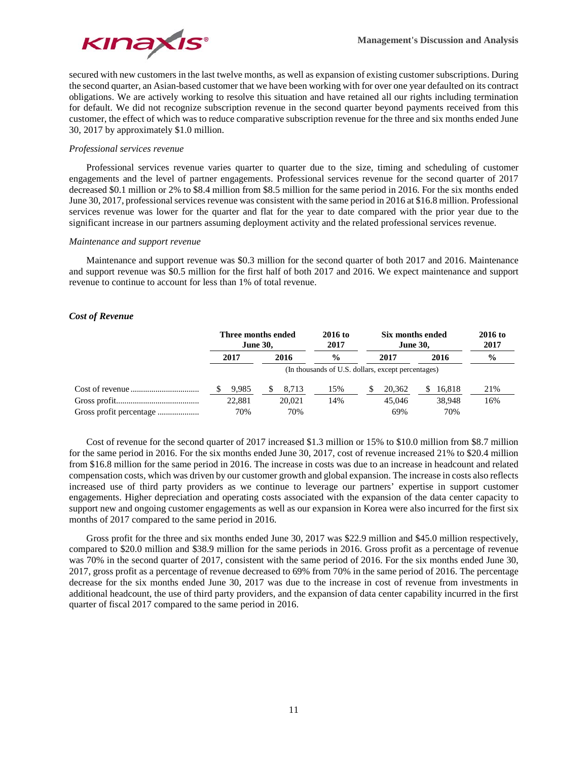

secured with new customers in the last twelve months, as well as expansion of existing customer subscriptions. During the second quarter, an Asian-based customer that we have been working with for over one year defaulted on its contract obligations. We are actively working to resolve this situation and have retained all our rights including termination for default. We did not recognize subscription revenue in the second quarter beyond payments received from this customer, the effect of which was to reduce comparative subscription revenue for the three and six months ended June 30, 2017 by approximately \$1.0 million.

## *Professional services revenue*

Professional services revenue varies quarter to quarter due to the size, timing and scheduling of customer engagements and the level of partner engagements. Professional services revenue for the second quarter of 2017 decreased \$0.1 million or 2% to \$8.4 million from \$8.5 million for the same period in 2016. For the six months ended June 30, 2017, professional services revenue was consistent with the same period in 2016 at \$16.8 million. Professional services revenue was lower for the quarter and flat for the year to date compared with the prior year due to the significant increase in our partners assuming deployment activity and the related professional services revenue.

## *Maintenance and support revenue*

Maintenance and support revenue was \$0.3 million for the second quarter of both 2017 and 2016. Maintenance and support revenue was \$0.5 million for the first half of both 2017 and 2016. We expect maintenance and support revenue to continue to account for less than 1% of total revenue.

## *Cost of Revenue*

|      | Three months ended<br><b>June 30,</b> |  |        | 2016 to<br>2017                                    | Six months ended<br><b>June 30,</b> | 2016 to<br>2017 |        |               |
|------|---------------------------------------|--|--------|----------------------------------------------------|-------------------------------------|-----------------|--------|---------------|
| 2017 |                                       |  | 2016   | $\frac{0}{0}$                                      | 2016<br>2017                        |                 |        | $\frac{6}{9}$ |
|      |                                       |  |        | (In thousands of U.S. dollars, except percentages) |                                     |                 |        |               |
|      | 9,985                                 |  | 8.713  | 15%                                                | 20,362                              |                 | 16.818 | 21%           |
|      | 22.881                                |  | 20,021 | 14%                                                | 45,046                              |                 | 38,948 | 16%           |
|      | 70%                                   |  | 70%    |                                                    | 69%                                 |                 | 70%    |               |

Cost of revenue for the second quarter of 2017 increased \$1.3 million or 15% to \$10.0 million from \$8.7 million for the same period in 2016. For the six months ended June 30, 2017, cost of revenue increased 21% to \$20.4 million from \$16.8 million for the same period in 2016. The increase in costs was due to an increase in headcount and related compensation costs, which was driven by our customer growth and global expansion. The increase in costs also reflects increased use of third party providers as we continue to leverage our partners' expertise in support customer engagements. Higher depreciation and operating costs associated with the expansion of the data center capacity to support new and ongoing customer engagements as well as our expansion in Korea were also incurred for the first six months of 2017 compared to the same period in 2016.

Gross profit for the three and six months ended June 30, 2017 was \$22.9 million and \$45.0 million respectively, compared to \$20.0 million and \$38.9 million for the same periods in 2016. Gross profit as a percentage of revenue was 70% in the second quarter of 2017, consistent with the same period of 2016. For the six months ended June 30, 2017, gross profit as a percentage of revenue decreased to 69% from 70% in the same period of 2016. The percentage decrease for the six months ended June 30, 2017 was due to the increase in cost of revenue from investments in additional headcount, the use of third party providers, and the expansion of data center capability incurred in the first quarter of fiscal 2017 compared to the same period in 2016.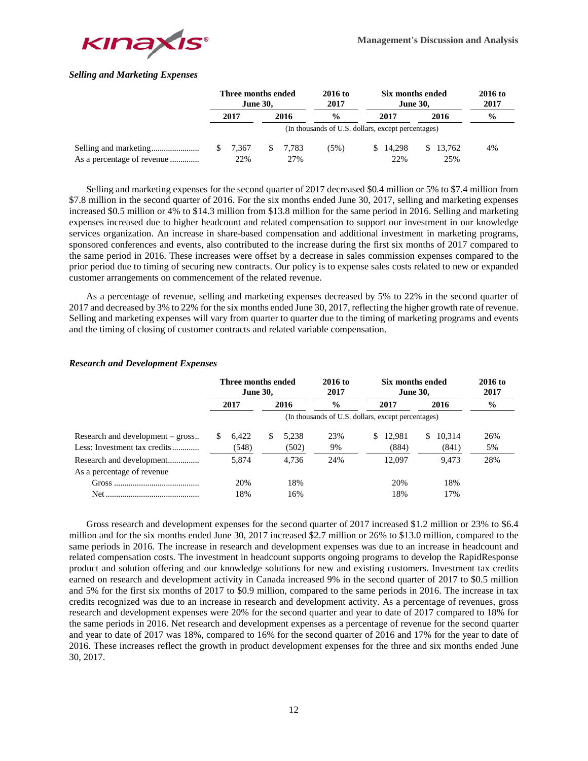

# *Selling and Marketing Expenses*

|                            | Three months ended<br><b>June 30,</b> |       |  | 2016 to<br>2017 | Six months ended<br><b>June 30,</b>                |  |          | 2016 to<br>2017 |               |
|----------------------------|---------------------------------------|-------|--|-----------------|----------------------------------------------------|--|----------|-----------------|---------------|
|                            |                                       | 2017  |  | 2016            | $\frac{0}{0}$                                      |  | 2017     | 2016            | $\frac{0}{0}$ |
|                            |                                       |       |  |                 | (In thousands of U.S. dollars, except percentages) |  |          |                 |               |
|                            |                                       | 7.367 |  | \$ 7.783        | (5%)                                               |  | \$14,298 | \$13,762        | 4%            |
| As a percentage of revenue |                                       | 22%   |  | 27%             |                                                    |  | 22%      | 25%             |               |

Selling and marketing expenses for the second quarter of 2017 decreased \$0.4 million or 5% to \$7.4 million from \$7.8 million in the second quarter of 2016. For the six months ended June 30, 2017, selling and marketing expenses increased \$0.5 million or 4% to \$14.3 million from \$13.8 million for the same period in 2016. Selling and marketing expenses increased due to higher headcount and related compensation to support our investment in our knowledge services organization. An increase in share-based compensation and additional investment in marketing programs, sponsored conferences and events, also contributed to the increase during the first six months of 2017 compared to the same period in 2016. These increases were offset by a decrease in sales commission expenses compared to the prior period due to timing of securing new contracts. Our policy is to expense sales costs related to new or expanded customer arrangements on commencement of the related revenue.

As a percentage of revenue, selling and marketing expenses decreased by 5% to 22% in the second quarter of 2017 and decreased by 3% to 22% for the six months ended June 30, 2017, reflecting the higher growth rate of revenue. Selling and marketing expenses will vary from quarter to quarter due to the timing of marketing programs and events and the timing of closing of customer contracts and related variable compensation.

## *Research and Development Expenses*

|                                  | Three months ended<br><b>June 30,</b> |       |   | $2016$ to<br>2017 | Six months ended<br><b>June 30,</b>                | $2016$ to<br>2017 |    |        |      |
|----------------------------------|---------------------------------------|-------|---|-------------------|----------------------------------------------------|-------------------|----|--------|------|
|                                  | 2017                                  |       |   | 2016              | $\frac{6}{9}$                                      | 2017              |    | 2016   | $\%$ |
|                                  |                                       |       |   |                   | (In thousands of U.S. dollars, except percentages) |                   |    |        |      |
| Research and development – gross | S.                                    | 6,422 | S | 5.238             | 23%                                                | \$<br>12.981      | S. | 10,314 | 26%  |
| Less: Investment tax credits     |                                       | (548) |   | (502)             | 9%                                                 | (884)             |    | (841)  | 5%   |
|                                  |                                       | 5.874 |   | 4.736             | 24%                                                | 12.097            |    | 9.473  | 28%  |
| As a percentage of revenue       |                                       |       |   |                   |                                                    |                   |    |        |      |
|                                  |                                       | 20%   |   | 18%               |                                                    | 20%               |    | 18%    |      |
|                                  |                                       | 18%   |   | 16%               |                                                    | 18%               |    | 17%    |      |

Gross research and development expenses for the second quarter of 2017 increased \$1.2 million or 23% to \$6.4 million and for the six months ended June 30, 2017 increased \$2.7 million or 26% to \$13.0 million, compared to the same periods in 2016. The increase in research and development expenses was due to an increase in headcount and related compensation costs. The investment in headcount supports ongoing programs to develop the RapidResponse product and solution offering and our knowledge solutions for new and existing customers. Investment tax credits earned on research and development activity in Canada increased 9% in the second quarter of 2017 to \$0.5 million and 5% for the first six months of 2017 to \$0.9 million, compared to the same periods in 2016. The increase in tax credits recognized was due to an increase in research and development activity. As a percentage of revenues, gross research and development expenses were 20% for the second quarter and year to date of 2017 compared to 18% for the same periods in 2016. Net research and development expenses as a percentage of revenue for the second quarter and year to date of 2017 was 18%, compared to 16% for the second quarter of 2016 and 17% for the year to date of 2016. These increases reflect the growth in product development expenses for the three and six months ended June 30, 2017.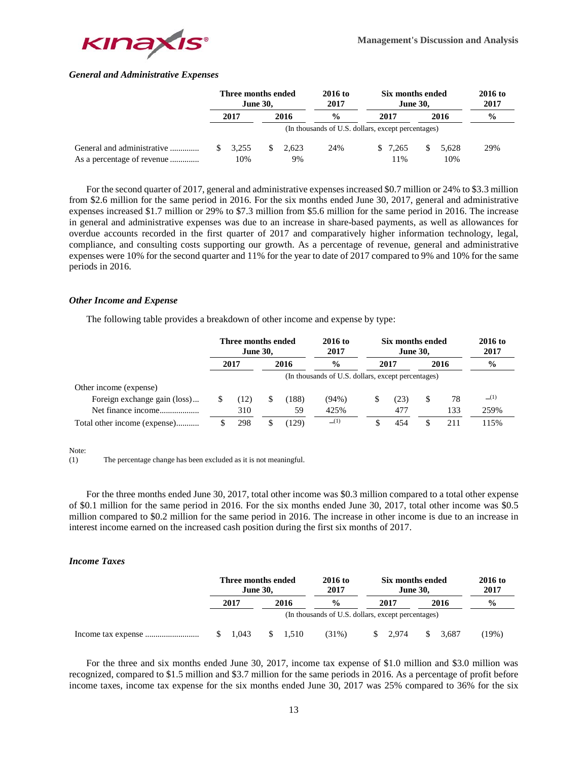

## *General and Administrative Expenses*

|                            | Three months ended<br><b>June 30.</b> |       |    | 2016 to<br>2017 | Six months ended<br><b>June 30.</b>                |  |          |   | 2016 to<br>2017 |               |
|----------------------------|---------------------------------------|-------|----|-----------------|----------------------------------------------------|--|----------|---|-----------------|---------------|
|                            |                                       | 2017  |    | 2016            | $\frac{0}{0}$                                      |  | 2017     |   | 2016            | $\frac{6}{9}$ |
|                            |                                       |       |    |                 | (In thousands of U.S. dollars, except percentages) |  |          |   |                 |               |
| General and administrative |                                       | 3.255 | S. | 2.623           | 24%                                                |  | \$ 7.265 | S | 5.628           | 29%           |
| As a percentage of revenue |                                       | 10%   |    | 9%              |                                                    |  | $1\%$    |   | 10%             |               |

For the second quarter of 2017, general and administrative expenses increased \$0.7 million or 24% to \$3.3 million from \$2.6 million for the same period in 2016. For the six months ended June 30, 2017, general and administrative expenses increased \$1.7 million or 29% to \$7.3 million from \$5.6 million for the same period in 2016. The increase in general and administrative expenses was due to an increase in share-based payments, as well as allowances for overdue accounts recorded in the first quarter of 2017 and comparatively higher information technology, legal, compliance, and consulting costs supporting our growth. As a percentage of revenue, general and administrative expenses were 10% for the second quarter and 11% for the year to date of 2017 compared to 9% and 10% for the same periods in 2016.

## *Other Income and Expense*

The following table provides a breakdown of other income and expense by type:

|                              | Three months ended<br><b>June 30,</b> |      |  | 2016 to<br>2017 | Six months ended<br><b>June 30,</b>                |      |   | 2016 to<br>2017 |               |
|------------------------------|---------------------------------------|------|--|-----------------|----------------------------------------------------|------|---|-----------------|---------------|
|                              |                                       | 2017 |  | 2016            | $\frac{0}{0}$                                      | 2017 |   | 2016            | $\frac{6}{9}$ |
|                              |                                       |      |  |                 | (In thousands of U.S. dollars, except percentages) |      |   |                 |               |
| Other income (expense)       |                                       |      |  |                 |                                                    |      |   |                 |               |
| Foreign exchange gain (loss) |                                       | (12) |  | (188)           | $(94\%)$                                           | (23) | S | 78              | (1)           |
| Net finance income           |                                       | 310  |  | 59              | 425%                                               | 477  |   | 133             | 259%          |
| Total other income (expense) |                                       | 298  |  | 129)            | (1)                                                | 454  |   | 211             | 115%          |

Note:

(1) The percentage change has been excluded as it is not meaningful.

For the three months ended June 30, 2017, total other income was \$0.3 million compared to a total other expense of \$0.1 million for the same period in 2016. For the six months ended June 30, 2017, total other income was \$0.5 million compared to \$0.2 million for the same period in 2016. The increase in other income is due to an increase in interest income earned on the increased cash position during the first six months of 2017.

## *Income Taxes*

|  | Three months ended<br><b>June 30,</b> |      |                    | 2016 to<br>2017                                    | Six months ended<br><b>June 30,</b> | 2016 to<br>2017 |               |         |
|--|---------------------------------------|------|--------------------|----------------------------------------------------|-------------------------------------|-----------------|---------------|---------|
|  | 2017                                  | 2016 |                    | $\frac{0}{0}$                                      | 2017                                | 2016            | $\frac{0}{0}$ |         |
|  |                                       |      |                    | (In thousands of U.S. dollars, except percentages) |                                     |                 |               |         |
|  | $\frac{1.043}{ }$                     |      | $\frac{\$}{1.510}$ | $(31\%)$                                           | $\frac{\$}{2.974}$                  | S.              | 3.687         | $19\%)$ |

For the three and six months ended June 30, 2017, income tax expense of \$1.0 million and \$3.0 million was recognized, compared to \$1.5 million and \$3.7 million for the same periods in 2016. As a percentage of profit before income taxes, income tax expense for the six months ended June 30, 2017 was 25% compared to 36% for the six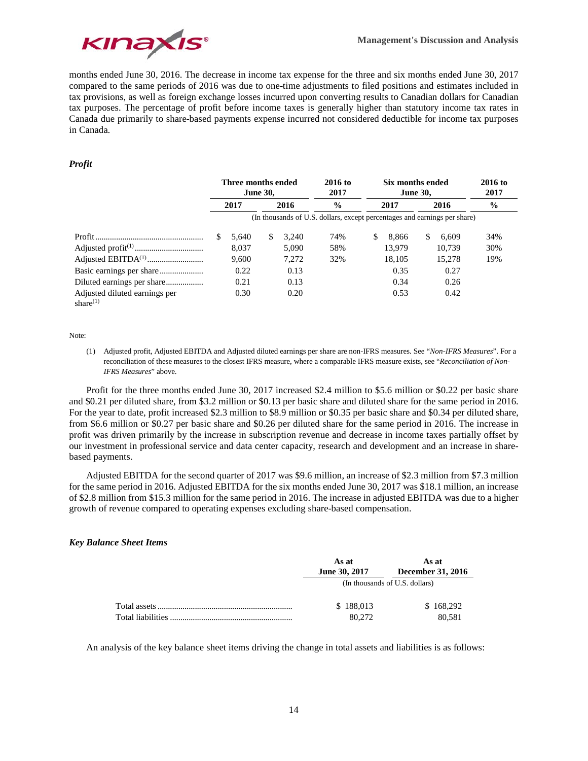

months ended June 30, 2016. The decrease in income tax expense for the three and six months ended June 30, 2017 compared to the same periods of 2016 was due to one-time adjustments to filed positions and estimates included in tax provisions, as well as foreign exchange losses incurred upon converting results to Canadian dollars for Canadian tax purposes. The percentage of profit before income taxes is generally higher than statutory income tax rates in Canada due primarily to share-based payments expense incurred not considered deductible for income tax purposes in Canada.

## *Profit*

|                                              | Three months ended<br><b>June 30,</b> |              | $2016$ to<br>2017 |               | Six months ended<br><b>June 30.</b> |                                                                           | $2016$ to<br>2017 |    |               |     |  |  |
|----------------------------------------------|---------------------------------------|--------------|-------------------|---------------|-------------------------------------|---------------------------------------------------------------------------|-------------------|----|---------------|-----|--|--|
|                                              |                                       | 2017<br>2016 |                   | $\frac{0}{0}$ |                                     | 2017                                                                      | 2016              |    | $\frac{6}{9}$ |     |  |  |
|                                              |                                       |              |                   |               |                                     | (In thousands of U.S. dollars, except percentages and earnings per share) |                   |    |               |     |  |  |
|                                              | \$                                    | 5.640        | S.                | 3.240         | 74%                                 | \$                                                                        | 8.866             | \$ | 6.609         | 34% |  |  |
|                                              |                                       | 8.037        |                   | 5.090         | 58%                                 |                                                                           | 13.979            |    | 10.739        | 30% |  |  |
|                                              |                                       | 9.600        |                   | 7.272         | 32%                                 |                                                                           | 18,105            |    | 15.278        | 19% |  |  |
|                                              |                                       | 0.22         |                   | 0.13          |                                     |                                                                           | 0.35              |    | 0.27          |     |  |  |
|                                              |                                       | 0.21         |                   | 0.13          |                                     |                                                                           | 0.34              |    | 0.26          |     |  |  |
| Adjusted diluted earnings per<br>share $(1)$ |                                       | 0.30         |                   | 0.20          |                                     |                                                                           | 0.53              |    | 0.42          |     |  |  |

Note:

(1) Adjusted profit, Adjusted EBITDA and Adjusted diluted earnings per share are non-IFRS measures. See "*Non-IFRS Measures*". For a reconciliation of these measures to the closest IFRS measure, where a comparable IFRS measure exists, see "*Reconciliation of Non-IFRS Measures*" above.

Profit for the three months ended June 30, 2017 increased \$2.4 million to \$5.6 million or \$0.22 per basic share and \$0.21 per diluted share, from \$3.2 million or \$0.13 per basic share and diluted share for the same period in 2016. For the year to date, profit increased \$2.3 million to \$8.9 million or \$0.35 per basic share and \$0.34 per diluted share, from \$6.6 million or \$0.27 per basic share and \$0.26 per diluted share for the same period in 2016. The increase in profit was driven primarily by the increase in subscription revenue and decrease in income taxes partially offset by our investment in professional service and data center capacity, research and development and an increase in sharebased payments.

Adjusted EBITDA for the second quarter of 2017 was \$9.6 million, an increase of \$2.3 million from \$7.3 million for the same period in 2016. Adjusted EBITDA for the six months ended June 30, 2017 was \$18.1 million, an increase of \$2.8 million from \$15.3 million for the same period in 2016. The increase in adjusted EBITDA was due to a higher growth of revenue compared to operating expenses excluding share-based compensation.

## *Key Balance Sheet Items*

|                   | As at                | As at                          |
|-------------------|----------------------|--------------------------------|
|                   | <b>June 30, 2017</b> | <b>December 31, 2016</b>       |
|                   |                      | (In thousands of U.S. dollars) |
|                   | \$188,013            | \$168,292                      |
| Total liabilities | 80,272               | 80.581                         |

An analysis of the key balance sheet items driving the change in total assets and liabilities is as follows: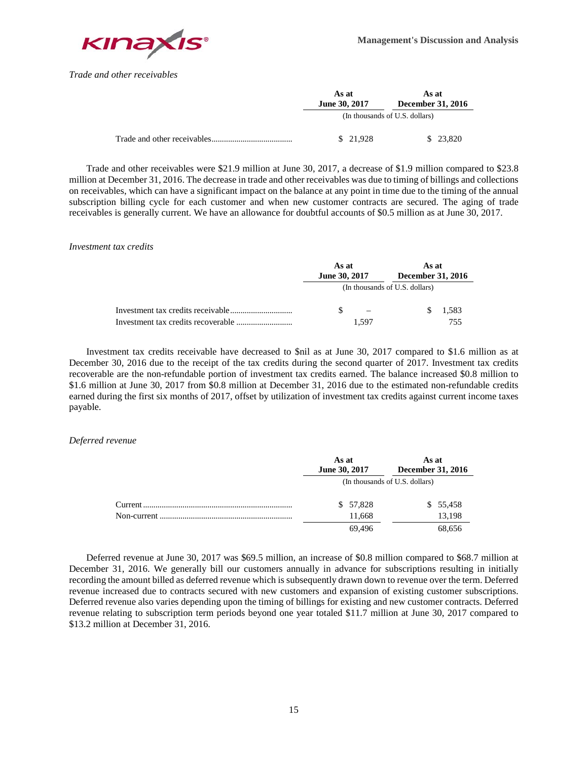

*Trade and other receivables*

| As at<br><b>June 30, 2017</b>  | As at<br><b>December 31, 2016</b> |  |  |
|--------------------------------|-----------------------------------|--|--|
| (In thousands of U.S. dollars) |                                   |  |  |
| \$21.928                       | \$23.820                          |  |  |

Trade and other receivables were \$21.9 million at June 30, 2017, a decrease of \$1.9 million compared to \$23.8 million at December 31, 2016. The decrease in trade and other receivables was due to timing of billings and collections on receivables, which can have a significant impact on the balance at any point in time due to the timing of the annual subscription billing cycle for each customer and when new customer contracts are secured. The aging of trade receivables is generally current. We have an allowance for doubtful accounts of \$0.5 million as at June 30, 2017.

## *Investment tax credits*

| As at<br>June 30, 2017 | As at<br>December 31, 2016     |       |  |
|------------------------|--------------------------------|-------|--|
|                        | (In thousands of U.S. dollars) |       |  |
|                        |                                | 1,583 |  |
| 1.597                  |                                | 755   |  |

Investment tax credits receivable have decreased to \$nil as at June 30, 2017 compared to \$1.6 million as at December 30, 2016 due to the receipt of the tax credits during the second quarter of 2017. Investment tax credits recoverable are the non-refundable portion of investment tax credits earned. The balance increased \$0.8 million to \$1.6 million at June 30, 2017 from \$0.8 million at December 31, 2016 due to the estimated non-refundable credits earned during the first six months of 2017, offset by utilization of investment tax credits against current income taxes payable.

## *Deferred revenue*

| As at<br><b>June 30, 2017</b>  | As at<br><b>December 31, 2016</b> |  |
|--------------------------------|-----------------------------------|--|
| (In thousands of U.S. dollars) |                                   |  |
| \$ 57,828                      | \$55,458                          |  |
| 11.668                         | 13.198                            |  |
| 69.496                         | 68,656                            |  |

Deferred revenue at June 30, 2017 was \$69.5 million, an increase of \$0.8 million compared to \$68.7 million at December 31, 2016. We generally bill our customers annually in advance for subscriptions resulting in initially recording the amount billed as deferred revenue which is subsequently drawn down to revenue over the term. Deferred revenue increased due to contracts secured with new customers and expansion of existing customer subscriptions. Deferred revenue also varies depending upon the timing of billings for existing and new customer contracts. Deferred revenue relating to subscription term periods beyond one year totaled \$11.7 million at June 30, 2017 compared to \$13.2 million at December 31, 2016.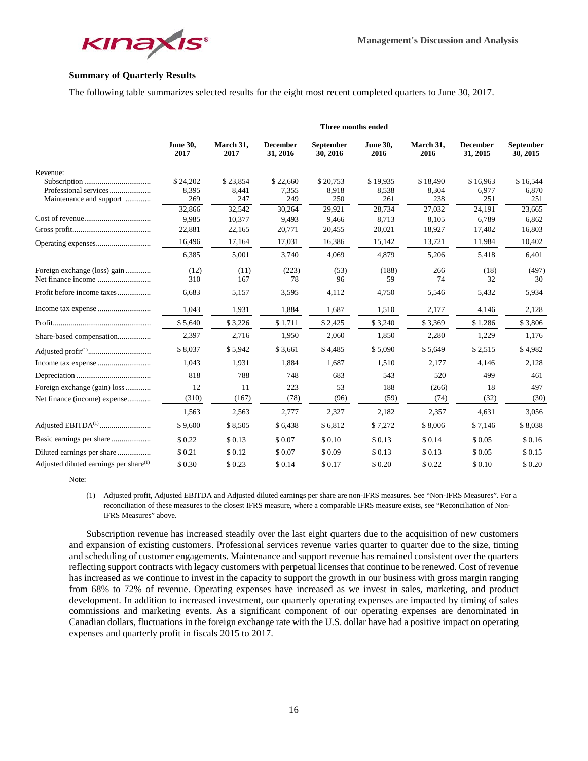

# **Summary of Quarterly Results**

The following table summarizes selected results for the eight most recent completed quarters to June 30, 2017.

|                                                    | Three months ended      |                   |                             |                              |                         |                   |                             |                              |
|----------------------------------------------------|-------------------------|-------------------|-----------------------------|------------------------------|-------------------------|-------------------|-----------------------------|------------------------------|
|                                                    | <b>June 30,</b><br>2017 | March 31,<br>2017 | <b>December</b><br>31, 2016 | <b>September</b><br>30, 2016 | <b>June 30,</b><br>2016 | March 31,<br>2016 | <b>December</b><br>31, 2015 | <b>September</b><br>30, 2015 |
| Revenue:                                           |                         |                   |                             |                              |                         |                   |                             |                              |
|                                                    | \$24,202                | \$23,854          | \$22,660                    | \$20,753                     | \$19,935                | \$18,490          | \$16,963                    | \$16,544                     |
| Professional services                              | 8,395                   | 8,441             | 7,355                       | 8,918                        | 8,538                   | 8,304             | 6,977                       | 6,870                        |
| Maintenance and support                            | 269                     | 247               | 249                         | 250                          | 261                     | 238               | 251                         | 251                          |
|                                                    | 32,866                  | 32,542            | 30,264                      | 29,921                       | 28,734                  | 27,032            | 24,191                      | 23,665                       |
|                                                    | 9,985                   | 10,377            | 9,493                       | 9,466                        | 8,713                   | 8,105             | 6,789                       | 6,862                        |
|                                                    | 22,881                  | 22,165            | 20,771                      | 20,455                       | 20,021                  | 18,927            | 17,402                      | 16,803                       |
|                                                    | 16,496                  | 17,164            | 17,031                      | 16,386                       | 15,142                  | 13,721            | 11,984                      | 10,402                       |
|                                                    | 6,385                   | 5,001             | 3,740                       | 4,069                        | 4,879                   | 5,206             | 5,418                       | 6,401                        |
| Foreign exchange (loss) gain                       | (12)                    | (11)              | (223)                       | (53)                         | (188)                   | 266               | (18)                        | (497)                        |
|                                                    | 310                     | 167               | 78                          | 96                           | 59                      | 74                | 32                          | 30                           |
| Profit before income taxes                         | 6,683                   | 5,157             | 3,595                       | 4,112                        | 4,750                   | 5,546             | 5,432                       | 5,934                        |
|                                                    | 1,043                   | 1,931             | 1,884                       | 1,687                        | 1,510                   | 2,177             | 4,146                       | 2,128                        |
|                                                    | \$5,640                 | \$3,226           | \$1,711                     | \$2,425                      | \$3,240                 | \$3,369           | \$1,286                     | \$3,806                      |
| Share-based compensation                           | 2,397                   | 2,716             | 1,950                       | 2,060                        | 1,850                   | 2,280             | 1,229                       | 1,176                        |
|                                                    | \$8,037                 | \$5,942           | \$3,661                     | \$4,485                      | \$5,090                 | \$5,649           | \$2,515                     | \$4,982                      |
|                                                    | 1,043                   | 1,931             | 1,884                       | 1,687                        | 1,510                   | 2,177             | 4,146                       | 2,128                        |
|                                                    | 818                     | 788               | 748                         | 683                          | 543                     | 520               | 499                         | 461                          |
| Foreign exchange (gain) loss                       | 12                      | 11                | 223                         | 53                           | 188                     | (266)             | 18                          | 497                          |
| Net finance (income) expense                       | (310)                   | (167)             | (78)                        | (96)                         | (59)                    | (74)              | (32)                        | (30)                         |
|                                                    | 1,563                   | 2,563             | 2,777                       | 2,327                        | 2,182                   | 2,357             | 4,631                       | 3,056                        |
|                                                    | \$9,600                 | \$8,505           | \$6,438                     | \$6,812                      | \$7,272                 | \$8,006           | \$7,146                     | \$8,038                      |
|                                                    |                         |                   |                             |                              | \$0.13                  | \$0.14            |                             |                              |
|                                                    | \$0.22                  | \$0.13            | \$0.07                      | \$0.10                       |                         |                   | \$0.05                      | \$0.16                       |
| Diluted earnings per share                         | \$0.21                  | \$0.12            | \$0.07                      | \$0.09                       | \$0.13                  | \$0.13            | \$0.05                      | \$0.15                       |
| Adjusted diluted earnings per share <sup>(1)</sup> | \$0.30                  | \$0.23            | \$0.14                      | \$0.17                       | \$0.20                  | \$0.22            | \$0.10                      | \$0.20                       |

Note:

(1) Adjusted profit, Adjusted EBITDA and Adjusted diluted earnings per share are non-IFRS measures. See "Non-IFRS Measures". For a reconciliation of these measures to the closest IFRS measure, where a comparable IFRS measure exists, see "Reconciliation of Non-IFRS Measures" above.

Subscription revenue has increased steadily over the last eight quarters due to the acquisition of new customers and expansion of existing customers. Professional services revenue varies quarter to quarter due to the size, timing and scheduling of customer engagements. Maintenance and support revenue has remained consistent over the quarters reflecting support contracts with legacy customers with perpetual licenses that continue to be renewed. Cost of revenue has increased as we continue to invest in the capacity to support the growth in our business with gross margin ranging from 68% to 72% of revenue. Operating expenses have increased as we invest in sales, marketing, and product development. In addition to increased investment, our quarterly operating expenses are impacted by timing of sales commissions and marketing events. As a significant component of our operating expenses are denominated in Canadian dollars, fluctuations in the foreign exchange rate with the U.S. dollar have had a positive impact on operating expenses and quarterly profit in fiscals 2015 to 2017.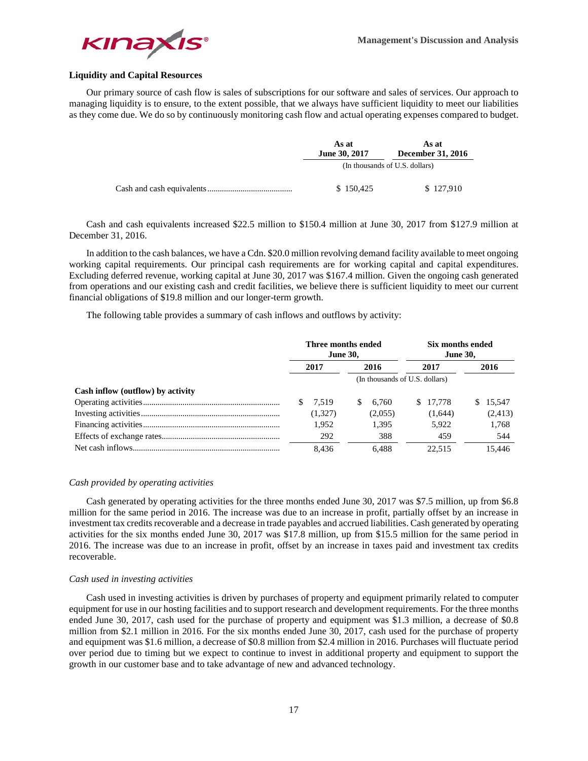

# **Liquidity and Capital Resources**

Our primary source of cash flow is sales of subscriptions for our software and sales of services. Our approach to managing liquidity is to ensure, to the extent possible, that we always have sufficient liquidity to meet our liabilities as they come due. We do so by continuously monitoring cash flow and actual operating expenses compared to budget.

| As at<br><b>June 30, 2017</b>  | As at<br><b>December 31, 2016</b> |  |  |
|--------------------------------|-----------------------------------|--|--|
| (In thousands of U.S. dollars) |                                   |  |  |
| \$150.425                      | \$127.910                         |  |  |

Cash and cash equivalents increased \$22.5 million to \$150.4 million at June 30, 2017 from \$127.9 million at December 31, 2016.

In addition to the cash balances, we have a Cdn. \$20.0 million revolving demand facility available to meet ongoing working capital requirements. Our principal cash requirements are for working capital and capital expenditures. Excluding deferred revenue, working capital at June 30, 2017 was \$167.4 million. Given the ongoing cash generated from operations and our existing cash and credit facilities, we believe there is sufficient liquidity to meet our current financial obligations of \$19.8 million and our longer-term growth.

The following table provides a summary of cash inflows and outflows by activity:

|                                   | Three months ended<br><b>June 30,</b> |         | Six months ended<br><b>June 30,</b> |         |      |          |      |          |
|-----------------------------------|---------------------------------------|---------|-------------------------------------|---------|------|----------|------|----------|
|                                   | 2017                                  |         | 2016                                |         | 2017 |          | 2016 |          |
|                                   |                                       |         | (In thousands of U.S. dollars)      |         |      |          |      |          |
| Cash inflow (outflow) by activity |                                       |         |                                     |         |      |          |      |          |
|                                   |                                       | 7.519   | S                                   | 6.760   |      | \$17,778 | S.   | 15.547   |
|                                   |                                       | (1,327) |                                     | (2,055) |      | (1,644)  |      | (2, 413) |
|                                   |                                       | 1.952   |                                     | 1.395   |      | 5.922    |      | 1,768    |
|                                   |                                       | 292     |                                     | 388     |      | 459      |      | 544      |
|                                   |                                       | 8.436   |                                     | 6.488   |      | 22.515   |      | 15.446   |

#### *Cash provided by operating activities*

Cash generated by operating activities for the three months ended June 30, 2017 was \$7.5 million, up from \$6.8 million for the same period in 2016. The increase was due to an increase in profit, partially offset by an increase in investment tax credits recoverable and a decrease in trade payables and accrued liabilities. Cash generated by operating activities for the six months ended June 30, 2017 was \$17.8 million, up from \$15.5 million for the same period in 2016. The increase was due to an increase in profit, offset by an increase in taxes paid and investment tax credits recoverable.

#### *Cash used in investing activities*

Cash used in investing activities is driven by purchases of property and equipment primarily related to computer equipment for use in our hosting facilities and to support research and development requirements. For the three months ended June 30, 2017, cash used for the purchase of property and equipment was \$1.3 million, a decrease of \$0.8 million from \$2.1 million in 2016. For the six months ended June 30, 2017, cash used for the purchase of property and equipment was \$1.6 million, a decrease of \$0.8 million from \$2.4 million in 2016. Purchases will fluctuate period over period due to timing but we expect to continue to invest in additional property and equipment to support the growth in our customer base and to take advantage of new and advanced technology.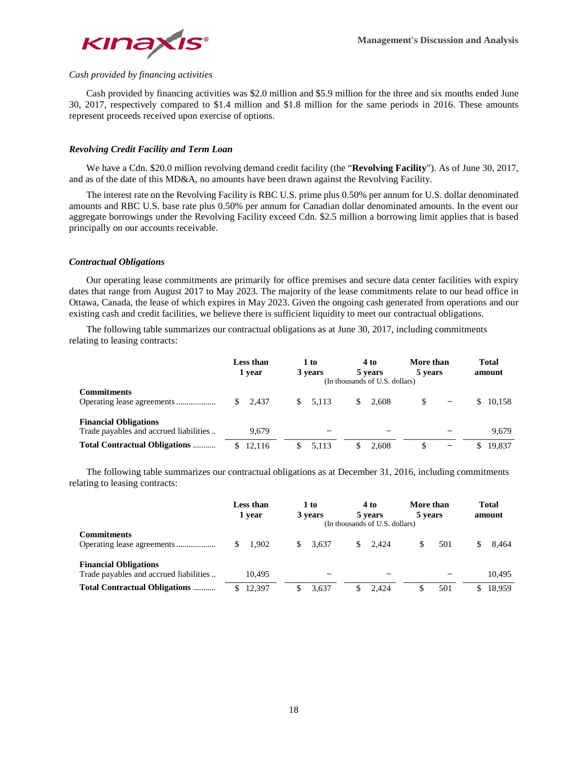

# *Cash provided by financing activities*

Cash provided by financing activities was \$2.0 million and \$5.9 million for the three and six months ended June 30, 2017, respectively compared to \$1.4 million and \$1.8 million for the same periods in 2016. These amounts represent proceeds received upon exercise of options.

## *Revolving Credit Facility and Term Loan*

We have a Cdn. \$20.0 million revolving demand credit facility (the "**Revolving Facility**"). As of June 30, 2017, and as of the date of this MD&A, no amounts have been drawn against the Revolving Facility.

The interest rate on the Revolving Facility is RBC U.S. prime plus 0.50% per annum for U.S. dollar denominated amounts and RBC U.S. base rate plus 0.50% per annum for Canadian dollar denominated amounts. In the event our aggregate borrowings under the Revolving Facility exceed Cdn. \$2.5 million a borrowing limit applies that is based principally on our accounts receivable.

## *Contractual Obligations*

Our operating lease commitments are primarily for office premises and secure data center facilities with expiry dates that range from August 2017 to May 2023. The majority of the lease commitments relate to our head office in Ottawa, Canada, the lease of which expires in May 2023. Given the ongoing cash generated from operations and our existing cash and credit facilities, we believe there is sufficient liquidity to meet our contractual obligations.

The following table summarizes our contractual obligations as at June 30, 2017, including commitments relating to leasing contracts:

|                                                                        | Less than<br>1 year | 1 to<br>3 years | 4 to<br>5 years<br>(In thousands of U.S. dollars) | More than<br>5 years          | <b>Total</b><br>amount |
|------------------------------------------------------------------------|---------------------|-----------------|---------------------------------------------------|-------------------------------|------------------------|
| <b>Commitments</b>                                                     | 2.437<br>\$         | 5.113<br>S.     | \$.<br>2.608                                      | \$.                           | \$10.158               |
| <b>Financial Obligations</b><br>Trade payables and accrued liabilities | 9.679               |                 |                                                   |                               | 9.679                  |
| <b>Total Contractual Obligations </b>                                  | 12.116              | 5.113           | 2.608                                             | S<br>$\overline{\phantom{0}}$ | 19.837                 |

The following table summarizes our contractual obligations as at December 31, 2016, including commitments relating to leasing contracts:

|                                                                        | Less than<br>1 vear    | 1 to<br>3 years | 4 to<br>5 years<br>(In thousands of U.S. dollars) | More than<br>5 years | <b>Total</b><br>amount |
|------------------------------------------------------------------------|------------------------|-----------------|---------------------------------------------------|----------------------|------------------------|
| <b>Commitments</b>                                                     | 1.902<br><sup>\$</sup> | 3.637<br>S.     | 2.424<br>S.                                       | 501<br>S             | 8.464                  |
| <b>Financial Obligations</b><br>Trade payables and accrued liabilities | 10.495                 |                 |                                                   |                      | 10.495                 |
| <b>Total Contractual Obligations </b>                                  | 12.397                 | 3.637           | 2.424                                             | 501                  | 18.959                 |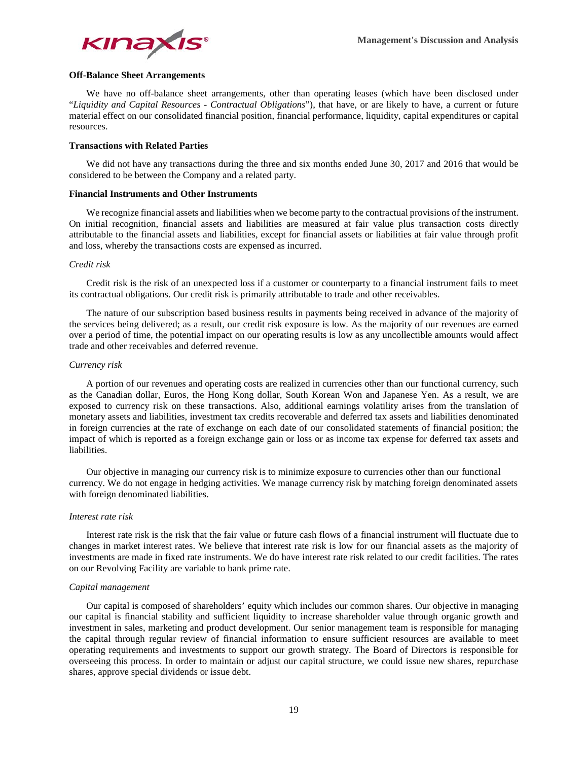

# **Off-Balance Sheet Arrangements**

We have no off-balance sheet arrangements, other than operating leases (which have been disclosed under "*Liquidity and Capital Resources - Contractual Obligations*"), that have, or are likely to have, a current or future material effect on our consolidated financial position, financial performance, liquidity, capital expenditures or capital resources.

#### **Transactions with Related Parties**

We did not have any transactions during the three and six months ended June 30, 2017 and 2016 that would be considered to be between the Company and a related party.

#### **Financial Instruments and Other Instruments**

We recognize financial assets and liabilities when we become party to the contractual provisions of the instrument. On initial recognition, financial assets and liabilities are measured at fair value plus transaction costs directly attributable to the financial assets and liabilities, except for financial assets or liabilities at fair value through profit and loss, whereby the transactions costs are expensed as incurred.

## *Credit risk*

Credit risk is the risk of an unexpected loss if a customer or counterparty to a financial instrument fails to meet its contractual obligations. Our credit risk is primarily attributable to trade and other receivables.

The nature of our subscription based business results in payments being received in advance of the majority of the services being delivered; as a result, our credit risk exposure is low. As the majority of our revenues are earned over a period of time, the potential impact on our operating results is low as any uncollectible amounts would affect trade and other receivables and deferred revenue.

## *Currency risk*

A portion of our revenues and operating costs are realized in currencies other than our functional currency, such as the Canadian dollar, Euros, the Hong Kong dollar, South Korean Won and Japanese Yen. As a result, we are exposed to currency risk on these transactions. Also, additional earnings volatility arises from the translation of monetary assets and liabilities, investment tax credits recoverable and deferred tax assets and liabilities denominated in foreign currencies at the rate of exchange on each date of our consolidated statements of financial position; the impact of which is reported as a foreign exchange gain or loss or as income tax expense for deferred tax assets and liabilities.

Our objective in managing our currency risk is to minimize exposure to currencies other than our functional currency. We do not engage in hedging activities. We manage currency risk by matching foreign denominated assets with foreign denominated liabilities.

#### *Interest rate risk*

Interest rate risk is the risk that the fair value or future cash flows of a financial instrument will fluctuate due to changes in market interest rates. We believe that interest rate risk is low for our financial assets as the majority of investments are made in fixed rate instruments. We do have interest rate risk related to our credit facilities. The rates on our Revolving Facility are variable to bank prime rate.

#### *Capital management*

Our capital is composed of shareholders' equity which includes our common shares. Our objective in managing our capital is financial stability and sufficient liquidity to increase shareholder value through organic growth and investment in sales, marketing and product development. Our senior management team is responsible for managing the capital through regular review of financial information to ensure sufficient resources are available to meet operating requirements and investments to support our growth strategy. The Board of Directors is responsible for overseeing this process. In order to maintain or adjust our capital structure, we could issue new shares, repurchase shares, approve special dividends or issue debt.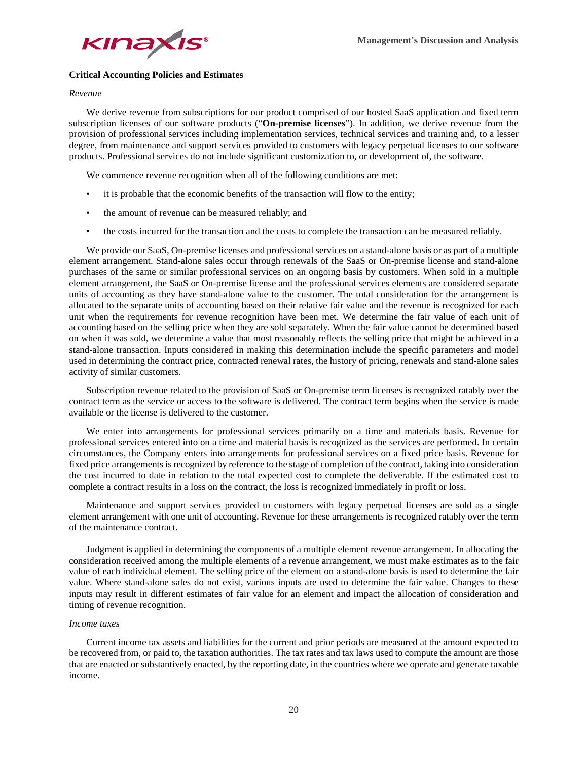

## **Critical Accounting Policies and Estimates**

## *Revenue*

We derive revenue from subscriptions for our product comprised of our hosted SaaS application and fixed term subscription licenses of our software products ("**On-premise licenses**"). In addition, we derive revenue from the provision of professional services including implementation services, technical services and training and, to a lesser degree, from maintenance and support services provided to customers with legacy perpetual licenses to our software products. Professional services do not include significant customization to, or development of, the software.

We commence revenue recognition when all of the following conditions are met:

- it is probable that the economic benefits of the transaction will flow to the entity;
- the amount of revenue can be measured reliably; and
- the costs incurred for the transaction and the costs to complete the transaction can be measured reliably.

We provide our SaaS, On-premise licenses and professional services on a stand-alone basis or as part of a multiple element arrangement. Stand-alone sales occur through renewals of the SaaS or On-premise license and stand-alone purchases of the same or similar professional services on an ongoing basis by customers. When sold in a multiple element arrangement, the SaaS or On-premise license and the professional services elements are considered separate units of accounting as they have stand-alone value to the customer. The total consideration for the arrangement is allocated to the separate units of accounting based on their relative fair value and the revenue is recognized for each unit when the requirements for revenue recognition have been met. We determine the fair value of each unit of accounting based on the selling price when they are sold separately. When the fair value cannot be determined based on when it was sold, we determine a value that most reasonably reflects the selling price that might be achieved in a stand-alone transaction. Inputs considered in making this determination include the specific parameters and model used in determining the contract price, contracted renewal rates, the history of pricing, renewals and stand-alone sales activity of similar customers.

Subscription revenue related to the provision of SaaS or On-premise term licenses is recognized ratably over the contract term as the service or access to the software is delivered. The contract term begins when the service is made available or the license is delivered to the customer.

We enter into arrangements for professional services primarily on a time and materials basis. Revenue for professional services entered into on a time and material basis is recognized as the services are performed. In certain circumstances, the Company enters into arrangements for professional services on a fixed price basis. Revenue for fixed price arrangements is recognized by reference to the stage of completion of the contract, taking into consideration the cost incurred to date in relation to the total expected cost to complete the deliverable. If the estimated cost to complete a contract results in a loss on the contract, the loss is recognized immediately in profit or loss.

Maintenance and support services provided to customers with legacy perpetual licenses are sold as a single element arrangement with one unit of accounting. Revenue for these arrangements is recognized ratably over the term of the maintenance contract.

Judgment is applied in determining the components of a multiple element revenue arrangement. In allocating the consideration received among the multiple elements of a revenue arrangement, we must make estimates as to the fair value of each individual element. The selling price of the element on a stand-alone basis is used to determine the fair value. Where stand-alone sales do not exist, various inputs are used to determine the fair value. Changes to these inputs may result in different estimates of fair value for an element and impact the allocation of consideration and timing of revenue recognition.

#### *Income taxes*

Current income tax assets and liabilities for the current and prior periods are measured at the amount expected to be recovered from, or paid to, the taxation authorities. The tax rates and tax laws used to compute the amount are those that are enacted or substantively enacted, by the reporting date, in the countries where we operate and generate taxable income.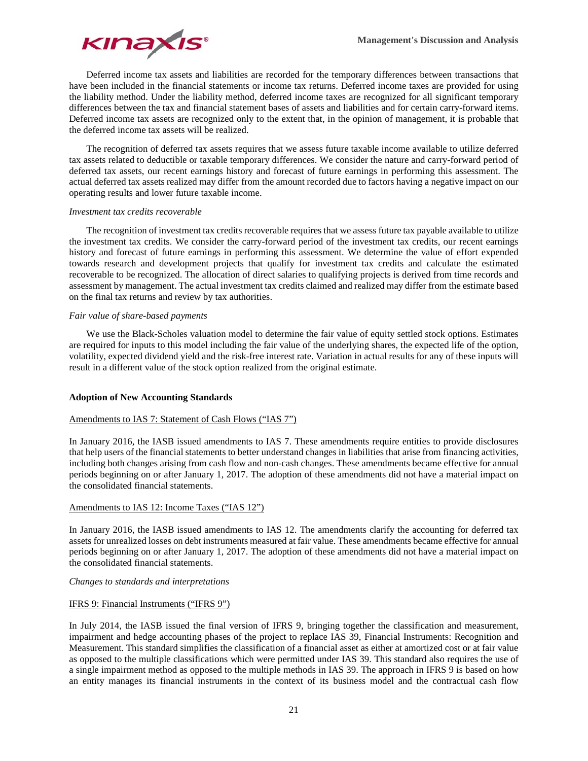

Deferred income tax assets and liabilities are recorded for the temporary differences between transactions that have been included in the financial statements or income tax returns. Deferred income taxes are provided for using the liability method. Under the liability method, deferred income taxes are recognized for all significant temporary differences between the tax and financial statement bases of assets and liabilities and for certain carry-forward items. Deferred income tax assets are recognized only to the extent that, in the opinion of management, it is probable that the deferred income tax assets will be realized.

The recognition of deferred tax assets requires that we assess future taxable income available to utilize deferred tax assets related to deductible or taxable temporary differences. We consider the nature and carry-forward period of deferred tax assets, our recent earnings history and forecast of future earnings in performing this assessment. The actual deferred tax assets realized may differ from the amount recorded due to factors having a negative impact on our operating results and lower future taxable income.

## *Investment tax credits recoverable*

The recognition of investment tax credits recoverable requires that we assess future tax payable available to utilize the investment tax credits. We consider the carry-forward period of the investment tax credits, our recent earnings history and forecast of future earnings in performing this assessment. We determine the value of effort expended towards research and development projects that qualify for investment tax credits and calculate the estimated recoverable to be recognized. The allocation of direct salaries to qualifying projects is derived from time records and assessment by management. The actual investment tax credits claimed and realized may differ from the estimate based on the final tax returns and review by tax authorities.

## *Fair value of share-based payments*

We use the Black-Scholes valuation model to determine the fair value of equity settled stock options. Estimates are required for inputs to this model including the fair value of the underlying shares, the expected life of the option, volatility, expected dividend yield and the risk-free interest rate. Variation in actual results for any of these inputs will result in a different value of the stock option realized from the original estimate.

## **Adoption of New Accounting Standards**

## Amendments to IAS 7: Statement of Cash Flows ("IAS 7")

In January 2016, the IASB issued amendments to IAS 7. These amendments require entities to provide disclosures that help users of the financial statements to better understand changes in liabilities that arise from financing activities, including both changes arising from cash flow and non-cash changes. These amendments became effective for annual periods beginning on or after January 1, 2017. The adoption of these amendments did not have a material impact on the consolidated financial statements.

# Amendments to IAS 12: Income Taxes ("IAS 12")

In January 2016, the IASB issued amendments to IAS 12. The amendments clarify the accounting for deferred tax assets for unrealized losses on debt instruments measured at fair value. These amendments became effective for annual periods beginning on or after January 1, 2017. The adoption of these amendments did not have a material impact on the consolidated financial statements.

## *Changes to standards and interpretations*

## IFRS 9: Financial Instruments ("IFRS 9")

In July 2014, the IASB issued the final version of IFRS 9, bringing together the classification and measurement, impairment and hedge accounting phases of the project to replace IAS 39, Financial Instruments: Recognition and Measurement. This standard simplifies the classification of a financial asset as either at amortized cost or at fair value as opposed to the multiple classifications which were permitted under IAS 39. This standard also requires the use of a single impairment method as opposed to the multiple methods in IAS 39. The approach in IFRS 9 is based on how an entity manages its financial instruments in the context of its business model and the contractual cash flow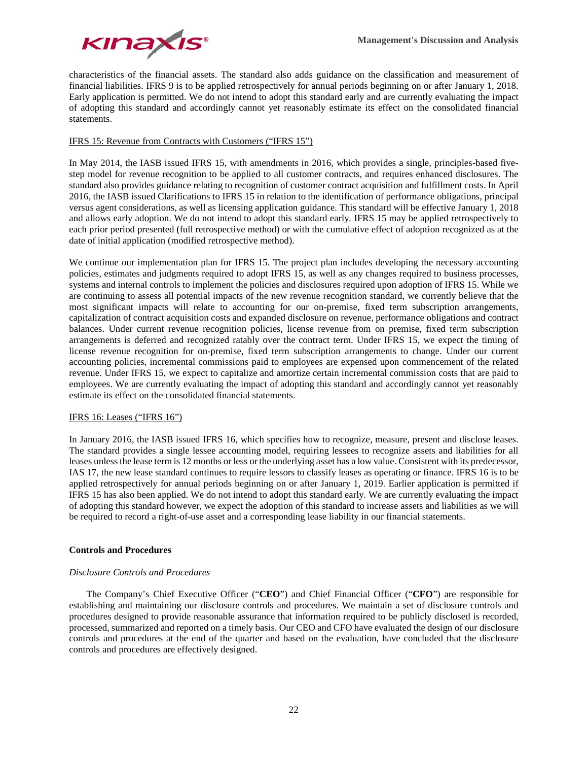

characteristics of the financial assets. The standard also adds guidance on the classification and measurement of financial liabilities. IFRS 9 is to be applied retrospectively for annual periods beginning on or after January 1, 2018. Early application is permitted. We do not intend to adopt this standard early and are currently evaluating the impact of adopting this standard and accordingly cannot yet reasonably estimate its effect on the consolidated financial statements.

# IFRS 15: Revenue from Contracts with Customers ("IFRS 15")

In May 2014, the IASB issued IFRS 15, with amendments in 2016, which provides a single, principles-based fivestep model for revenue recognition to be applied to all customer contracts, and requires enhanced disclosures. The standard also provides guidance relating to recognition of customer contract acquisition and fulfillment costs. In April 2016, the IASB issued Clarifications to IFRS 15 in relation to the identification of performance obligations, principal versus agent considerations, as well as licensing application guidance. This standard will be effective January 1, 2018 and allows early adoption. We do not intend to adopt this standard early. IFRS 15 may be applied retrospectively to each prior period presented (full retrospective method) or with the cumulative effect of adoption recognized as at the date of initial application (modified retrospective method).

We continue our implementation plan for IFRS 15. The project plan includes developing the necessary accounting policies, estimates and judgments required to adopt IFRS 15, as well as any changes required to business processes, systems and internal controls to implement the policies and disclosures required upon adoption of IFRS 15. While we are continuing to assess all potential impacts of the new revenue recognition standard, we currently believe that the most significant impacts will relate to accounting for our on-premise, fixed term subscription arrangements, capitalization of contract acquisition costs and expanded disclosure on revenue, performance obligations and contract balances. Under current revenue recognition policies, license revenue from on premise, fixed term subscription arrangements is deferred and recognized ratably over the contract term. Under IFRS 15, we expect the timing of license revenue recognition for on-premise, fixed term subscription arrangements to change. Under our current accounting policies, incremental commissions paid to employees are expensed upon commencement of the related revenue. Under IFRS 15, we expect to capitalize and amortize certain incremental commission costs that are paid to employees. We are currently evaluating the impact of adopting this standard and accordingly cannot yet reasonably estimate its effect on the consolidated financial statements.

## IFRS 16: Leases ("IFRS 16")

In January 2016, the IASB issued IFRS 16, which specifies how to recognize, measure, present and disclose leases. The standard provides a single lessee accounting model, requiring lessees to recognize assets and liabilities for all leases unless the lease term is 12 months or less or the underlying asset has a low value. Consistent with its predecessor, IAS 17, the new lease standard continues to require lessors to classify leases as operating or finance. IFRS 16 is to be applied retrospectively for annual periods beginning on or after January 1, 2019. Earlier application is permitted if IFRS 15 has also been applied. We do not intend to adopt this standard early. We are currently evaluating the impact of adopting this standard however, we expect the adoption of this standard to increase assets and liabilities as we will be required to record a right-of-use asset and a corresponding lease liability in our financial statements.

# **Controls and Procedures**

# *Disclosure Controls and Procedures*

The Company's Chief Executive Officer ("**CEO**") and Chief Financial Officer ("**CFO**") are responsible for establishing and maintaining our disclosure controls and procedures. We maintain a set of disclosure controls and procedures designed to provide reasonable assurance that information required to be publicly disclosed is recorded, processed, summarized and reported on a timely basis. Our CEO and CFO have evaluated the design of our disclosure controls and procedures at the end of the quarter and based on the evaluation, have concluded that the disclosure controls and procedures are effectively designed.